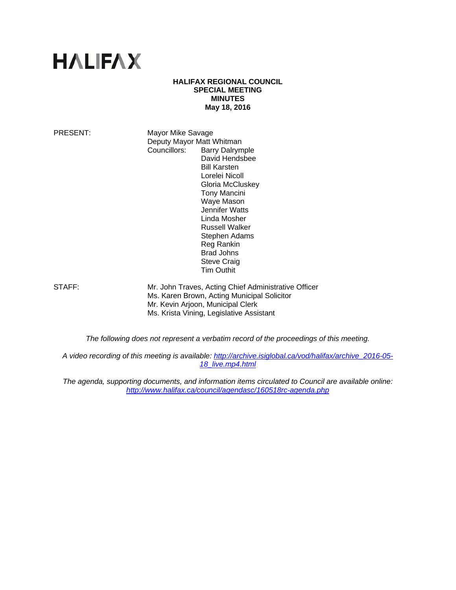# **HALIFAX**

#### **HALIFAX REGIONAL COUNCIL SPECIAL MEETING MINUTES May 18, 2016**

PRESENT: Mayor Mike Savage Deputy Mayor Matt Whitman Councillors: Barry Dalrymple David Hendsbee Bill Karsten Lorelei Nicoll Gloria McCluskey Tony Mancini Waye Mason Jennifer Watts Linda Mosher Russell Walker Stephen Adams Reg Rankin Brad Johns Steve Craig Tim Outhit

STAFF: Mr. John Traves, Acting Chief Administrative Officer Ms. Karen Brown, Acting Municipal Solicitor Mr. Kevin Arjoon, Municipal Clerk Ms. Krista Vining, Legislative Assistant

*The following does not represent a verbatim record of the proceedings of this meeting.* 

*A video recording of this meeting is available: http://archive.isiglobal.ca/vod/halifax/archive\_2016-05- 18\_live.mp4.html* 

*The agenda, supporting documents, and information items circulated to Council are available online: http://www.halifax.ca/council/agendasc/160518rc-agenda.php*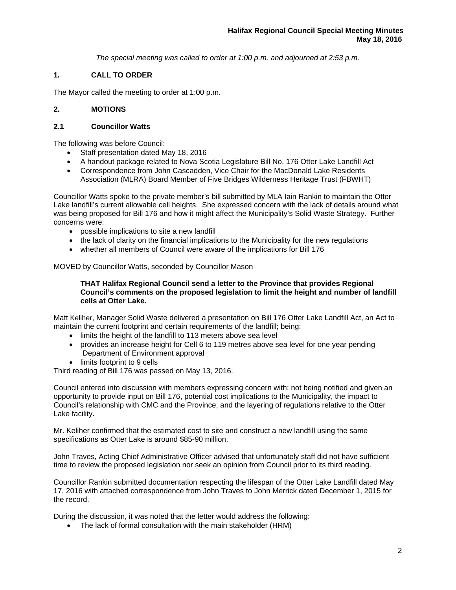*The special meeting was called to order at 1:00 p.m. and adjourned at 2:53 p.m.*

## **1. CALL TO ORDER**

The Mayor called the meeting to order at 1:00 p.m.

## **2. MOTIONS**

### **2.1 Councillor Watts**

The following was before Council:

- Staff presentation dated May 18, 2016
- A handout package related to Nova Scotia Legislature Bill No. 176 Otter Lake Landfill Act
- Correspondence from John Cascadden, Vice Chair for the MacDonald Lake Residents Association (MLRA) Board Member of Five Bridges Wilderness Heritage Trust (FBWHT)

Councillor Watts spoke to the private member's bill submitted by MLA Iain Rankin to maintain the Otter Lake landfill's current allowable cell heights. She expressed concern with the lack of details around what was being proposed for Bill 176 and how it might affect the Municipality's Solid Waste Strategy. Further concerns were:

- possible implications to site a new landfill
- the lack of clarity on the financial implications to the Municipality for the new regulations
- whether all members of Council were aware of the implications for Bill 176

## MOVED by Councillor Watts, seconded by Councillor Mason

### **THAT Halifax Regional Council send a letter to the Province that provides Regional Council's comments on the proposed legislation to limit the height and number of landfill cells at Otter Lake.**

Matt Keliher, Manager Solid Waste delivered a presentation on Bill 176 Otter Lake Landfill Act, an Act to maintain the current footprint and certain requirements of the landfill; being:

- limits the height of the landfill to 113 meters above sea level
- provides an increase height for Cell 6 to 119 metres above sea level for one year pending Department of Environment approval
- limits footprint to 9 cells

Third reading of Bill 176 was passed on May 13, 2016.

Council entered into discussion with members expressing concern with: not being notified and given an opportunity to provide input on Bill 176, potential cost implications to the Municipality, the impact to Council's relationship with CMC and the Province, and the layering of regulations relative to the Otter Lake facility.

Mr. Keliher confirmed that the estimated cost to site and construct a new landfill using the same specifications as Otter Lake is around \$85-90 million.

John Traves, Acting Chief Administrative Officer advised that unfortunately staff did not have sufficient time to review the proposed legislation nor seek an opinion from Council prior to its third reading.

Councillor Rankin submitted documentation respecting the lifespan of the Otter Lake Landfill dated May 17, 2016 with attached correspondence from John Traves to John Merrick dated December 1, 2015 for the record.

During the discussion, it was noted that the letter would address the following:

• The lack of formal consultation with the main stakeholder (HRM)